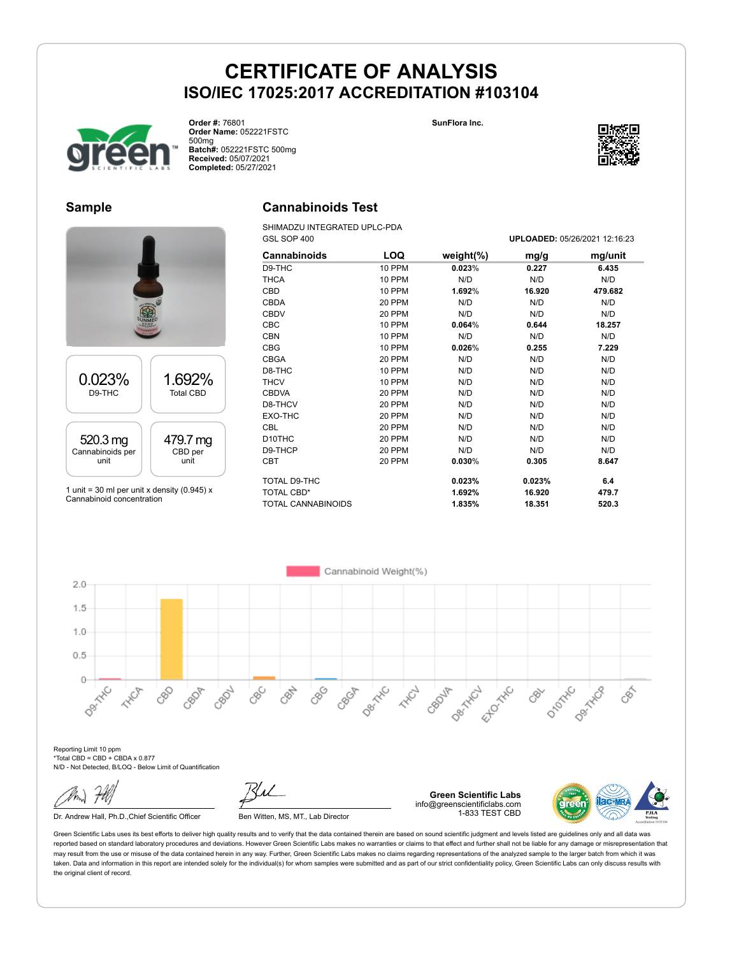

**Order #:** 76801 **Order Name:** 052221FSTC 500mg **Batch#:** 052221FSTC 500mg **Received:** 05/07/2021 **Completed:** 05/27/2021

**SunFlora Inc.**



#### **Sample**



1 unit = 30 ml per unit x density (0.945)  $x$ Cannabinoid concentration

### **Cannabinoids Test**

SHIMADZU INTEGRATED UPLC-PDA GSL SOP 400 **UPLOADED:** 05/26/2021 12:16:23

| Cannabinoids              | LOQ           | weight $(\%)$ | mg/g   | mg/unit |
|---------------------------|---------------|---------------|--------|---------|
| D9-THC                    | 10 PPM        | 0.023%        | 0.227  | 6.435   |
| <b>THCA</b>               | <b>10 PPM</b> | N/D           | N/D    | N/D     |
| <b>CBD</b>                | 10 PPM        | 1.692%        | 16.920 | 479.682 |
| <b>CBDA</b>               | 20 PPM        | N/D           | N/D    | N/D     |
| <b>CBDV</b>               | 20 PPM        | N/D           | N/D    | N/D     |
| <b>CBC</b>                | 10 PPM        | 0.064%        | 0.644  | 18.257  |
| <b>CBN</b>                | 10 PPM        | N/D           | N/D    | N/D     |
| <b>CBG</b>                | 10 PPM        | 0.026%        | 0.255  | 7.229   |
| <b>CBGA</b>               | 20 PPM        | N/D           | N/D    | N/D     |
| D8-THC                    | 10 PPM        | N/D           | N/D    | N/D     |
| <b>THCV</b>               | 10 PPM        | N/D           | N/D    | N/D     |
| <b>CBDVA</b>              | 20 PPM        | N/D           | N/D    | N/D     |
| D8-THCV                   | 20 PPM        | N/D           | N/D    | N/D     |
| EXO-THC                   | 20 PPM        | N/D           | N/D    | N/D     |
| <b>CBL</b>                | 20 PPM        | N/D           | N/D    | N/D     |
| D <sub>10</sub> THC       | 20 PPM        | N/D           | N/D    | N/D     |
| D9-THCP                   | 20 PPM        | N/D           | N/D    | N/D     |
| <b>CBT</b>                | 20 PPM        | 0.030%        | 0.305  | 8.647   |
| TOTAL D9-THC              |               | 0.023%        | 0.023% | 6.4     |
| <b>TOTAL CBD*</b>         |               | 1.692%        | 16.920 | 479.7   |
| <b>TOTAL CANNABINOIDS</b> |               | 1.835%        | 18.351 | 520.3   |



Reporting Limit 10 ppm \*Total CBD = CBD + CBDA x 0.877 N/D - Not Detected, B/LOQ - Below Limit of Quantification

Dr. Andrew Hall, Ph.D., Chief Scientific Officer Ben Witten, MS, MT., Lab Director

**Green Scientific Labs** info@greenscientificlabs.com 1-833 TEST CBD

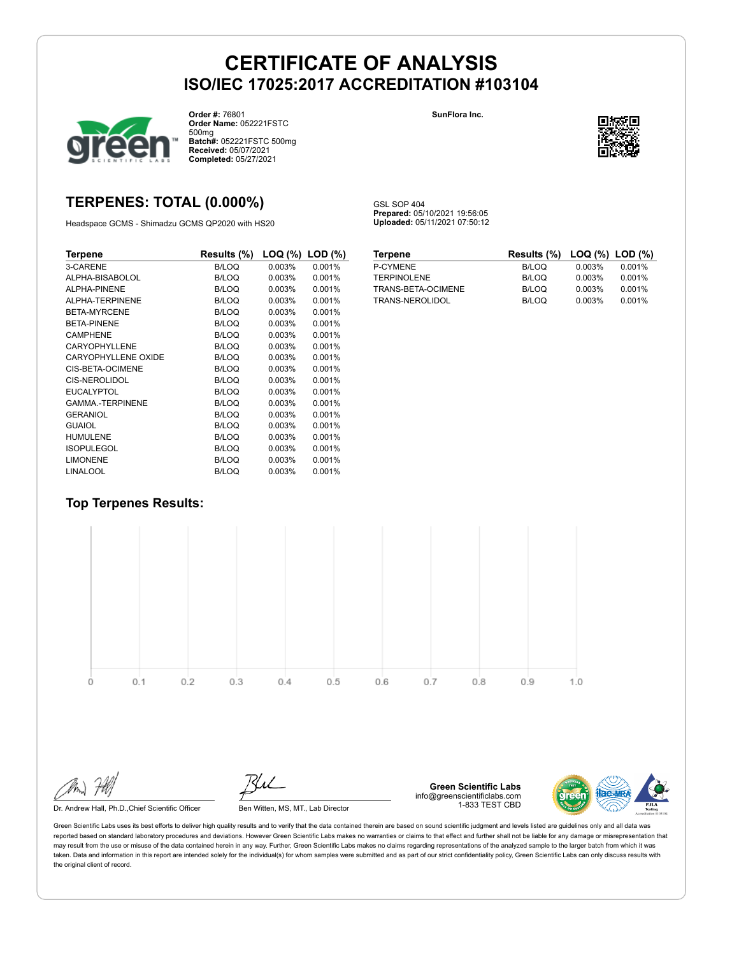GSL SOP 404

**Prepared:** 05/10/2021 19:56:05 **Uploaded:** 05/11/2021 07:50:12



**Order #:** 76801 **Order Name:** 052221FSTC 500mg **Batch#:** 052221FSTC 500mg **Received:** 05/07/2021 **Completed:** 05/27/2021

#### **SunFlora Inc.**



### **TERPENES: TOTAL (0.000%)**

Headspace GCMS - Shimadzu GCMS QP2020 with HS20

| Terpene                 | Results (%)  | LOQ (%) | $LOD$ $(\%)$ |
|-------------------------|--------------|---------|--------------|
| 3-CARENE                | <b>B/LOQ</b> | 0.003%  | 0.001%       |
| ALPHA-BISABOLOL         | <b>B/LOQ</b> | 0.003%  | 0.001%       |
| ALPHA-PINENE            | <b>B/LOQ</b> | 0.003%  | 0.001%       |
| ALPHA-TERPINENE         | <b>B/LOQ</b> | 0.003%  | 0.001%       |
| BETA-MYRCENE            | <b>B/LOQ</b> | 0.003%  | 0.001%       |
| <b>BETA-PINENE</b>      | <b>B/LOQ</b> | 0.003%  | 0.001%       |
| <b>CAMPHENE</b>         | <b>B/LOQ</b> | 0.003%  | 0.001%       |
| CARYOPHYLLENE           | <b>B/LOQ</b> | 0.003%  | 0.001%       |
| CARYOPHYLLENE OXIDE     | <b>B/LOQ</b> | 0.003%  | 0.001%       |
| CIS-BETA-OCIMENE        | <b>B/LOQ</b> | 0.003%  | 0.001%       |
| CIS-NEROLIDOL           | <b>B/LOQ</b> | 0.003%  | 0.001%       |
| <b>EUCALYPTOL</b>       | <b>B/LOQ</b> | 0.003%  | 0.001%       |
| <b>GAMMA.-TERPINENE</b> | <b>B/LOQ</b> | 0.003%  | 0.001%       |
| <b>GERANIOL</b>         | <b>B/LOQ</b> | 0.003%  | 0.001%       |
| <b>GUAIOL</b>           | <b>B/LOQ</b> | 0.003%  | 0.001%       |
| <b>HUMULENE</b>         | <b>B/LOQ</b> | 0.003%  | 0.001%       |
| <b>ISOPULEGOL</b>       | <b>B/LOQ</b> | 0.003%  | 0.001%       |
| <b>LIMONENE</b>         | <b>B/LOQ</b> | 0.003%  | 0.001%       |
| <b>LINALOOL</b>         | <b>B/LOQ</b> | 0.003%  | 0.001%       |

| <b>Terpene</b>     | Results (%) LOQ (%) LOD (%) |        |        |
|--------------------|-----------------------------|--------|--------|
| <b>P-CYMENE</b>    | B/LOQ                       | 0.003% | 0.001% |
| <b>TERPINOLENE</b> | B/LOQ                       | 0.003% | 0.001% |
| TRANS-BETA-OCIMENE | B/LOQ                       | 0.003% | 0.001% |
| TRANS-NEROLIDOL    | B/LOQ                       | 0.003% | 0.001% |

### **Top Terpenes Results:**



Dr. Andrew Hall, Ph.D., Chief Scientific Officer Ben Witten, MS, MT., Lab Director

**Green Scientific Labs** info@greenscientificlabs.com 1-833 TEST CBD

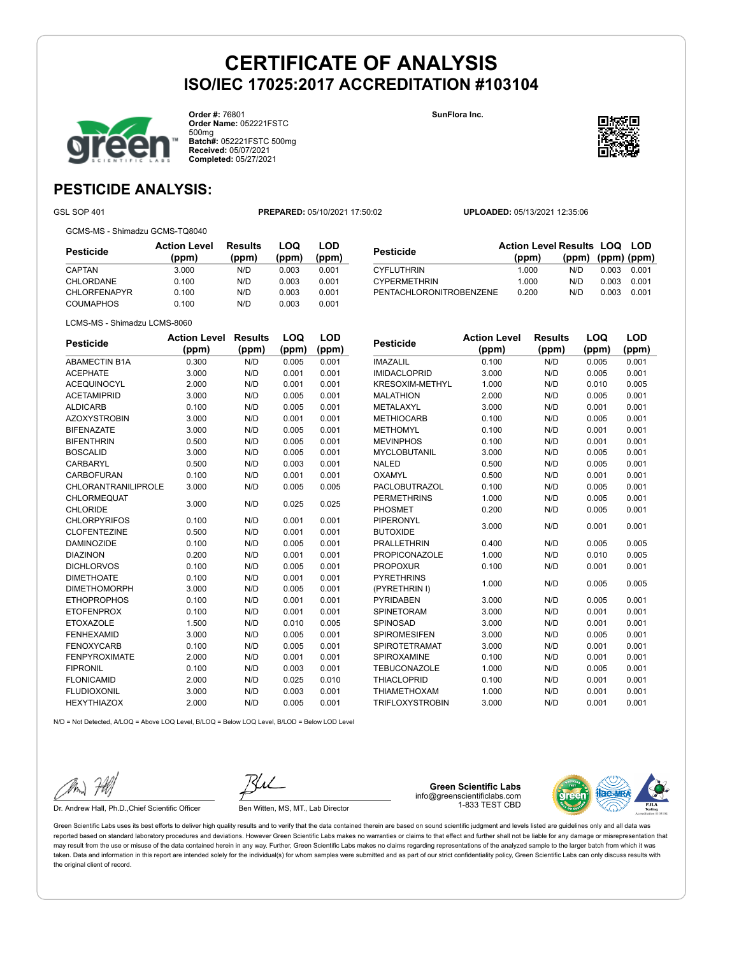

**Order #:** 76801 **Order Name:** 052221FSTC 500mg **Batch#:** 052221FSTC 500mg **Received:** 05/07/2021 **Completed:** 05/27/2021

**SunFlora Inc.**



## **PESTICIDE ANALYSIS:**

GSL SOP 401 **PREPARED:** 05/10/2021 17:50:02 **UPLOADED:** 05/13/2021 12:35:06

GCMS-MS - Shimadzu GCMS-TQ8040

**Pesticide Action Level (ppm) Results (ppm) LOQ (ppm) LOD (ppm)** CAPTAN 3.000 N/D 0.003 0.001 CHLORDANE 0.100 N/D 0.003 CHLORFENAPYR 0.100 N/D 0.003 COUMAPHOS 0.100 N/D 0.003 0.001

| <b>LOD</b><br>(ppm) | <b>Pesticide</b>                                           | <b>Action Level Results LOQ LOD</b><br>(ppm) | (ppm) |       | $(ppm)$ (ppm) |
|---------------------|------------------------------------------------------------|----------------------------------------------|-------|-------|---------------|
| 0.001               | <b>CYFLUTHRIN</b>                                          | 1.000                                        | N/D   | 0.003 | 0.001         |
| 0.001               | <b>CYPERMETHRIN</b>                                        | 1.000                                        | N/D   | 0.003 | 0.001         |
| 0.001               | PENTACHLORONITROBENZENE                                    | 0.200                                        | N/D   | 0.003 | 0.001         |
| 0.001               |                                                            |                                              |       |       |               |
|                     |                                                            |                                              |       |       |               |
| LOD                 | <b>Action Level</b><br><b>Product of the Second Second</b> | <b>Results</b>                               |       | LOQ   | LOD           |

LCMS-MS - Shimadzu LCMS-8060

| <b>Pesticide</b>           | <b>Action Level</b> | <b>Results</b> | LOQ   | <b>LOD</b> |
|----------------------------|---------------------|----------------|-------|------------|
|                            | (ppm)               | (ppm)          | (ppm) | (ppm)      |
| <b>ABAMECTIN B1A</b>       | 0.300               | N/D            | 0.005 | 0.001      |
| <b>ACEPHATE</b>            | 3.000               | N/D            | 0.001 | 0.001      |
| <b>ACEQUINOCYL</b>         | 2.000               | N/D            | 0.001 | 0.001      |
| <b>ACETAMIPRID</b>         | 3.000               | N/D            | 0.005 | 0.001      |
| <b>ALDICARB</b>            | 0.100               | N/D            | 0.005 | 0.001      |
| <b>AZOXYSTROBIN</b>        | 3.000               | N/D            | 0.001 | 0.001      |
| <b>BIFENAZATE</b>          | 3.000               | N/D            | 0.005 | 0.001      |
| <b>BIFENTHRIN</b>          | 0.500               | N/D            | 0.005 | 0.001      |
| <b>BOSCALID</b>            | 3.000               | N/D            | 0.005 | 0.001      |
| <b>CARBARYL</b>            | 0.500               | N/D            | 0.003 | 0.001      |
| CARBOFURAN                 | 0.100               | N/D            | 0.001 | 0.001      |
| <b>CHLORANTRANILIPROLE</b> | 3.000               | N/D            | 0.005 | 0.005      |
| <b>CHLORMEQUAT</b>         | 3.000               | N/D            | 0.025 | 0.025      |
| <b>CHLORIDE</b>            |                     |                |       |            |
| <b>CHLORPYRIFOS</b>        | 0.100               | N/D            | 0.001 | 0.001      |
| <b>CLOFENTEZINE</b>        | 0.500               | N/D            | 0.001 | 0.001      |
| <b>DAMINOZIDE</b>          | 0.100               | N/D            | 0.005 | 0.001      |
| <b>DIAZINON</b>            | 0.200               | N/D            | 0.001 | 0.001      |
| <b>DICHLORVOS</b>          | 0.100               | N/D            | 0.005 | 0.001      |
| <b>DIMETHOATE</b>          | 0.100               | N/D            | 0.001 | 0.001      |
| <b>DIMETHOMORPH</b>        | 3.000               | N/D            | 0.005 | 0.001      |
| <b>ETHOPROPHOS</b>         | 0.100               | N/D            | 0.001 | 0.001      |
| <b>ETOFENPROX</b>          | 0.100               | N/D            | 0.001 | 0.001      |
| <b>ETOXAZOLE</b>           | 1.500               | N/D            | 0.010 | 0.005      |
| <b>FENHEXAMID</b>          | 3.000               | N/D            | 0.005 | 0.001      |
| <b>FENOXYCARB</b>          | 0.100               | N/D            | 0.005 | 0.001      |
| <b>FENPYROXIMATE</b>       | 2.000               | N/D            | 0.001 | 0.001      |
| <b>FIPRONIL</b>            | 0.100               | N/D            | 0.003 | 0.001      |
| <b>FLONICAMID</b>          | 2.000               | N/D            | 0.025 | 0.010      |
| <b>FLUDIOXONIL</b>         | 3.000               | N/D            | 0.003 | 0.001      |
| <b>HEXYTHIAZOX</b>         | 2.000               | N/D            | 0.005 | 0.001      |

| <b>Pesticide</b>       | <b>Action Level</b> | <b>Results</b> | LOQ   | LOD   |
|------------------------|---------------------|----------------|-------|-------|
|                        | (ppm)               | (ppm)          | (ppm) | (ppm) |
| <b>IMAZALIL</b>        | 0.100               | N/D            | 0.005 | 0.001 |
| <b>IMIDACLOPRID</b>    | 3.000               | N/D            | 0.005 | 0.001 |
| <b>KRESOXIM-METHYL</b> | 1.000               | N/D            | 0.010 | 0.005 |
| <b>MALATHION</b>       | 2.000               | N/D            | 0.005 | 0.001 |
| METALAXYL              | 3.000               | N/D            | 0.001 | 0.001 |
| <b>METHIOCARB</b>      | 0.100               | N/D            | 0.005 | 0.001 |
| <b>METHOMYL</b>        | 0.100               | N/D            | 0.001 | 0.001 |
| <b>MEVINPHOS</b>       | 0.100               | N/D            | 0.001 | 0.001 |
| <b>MYCLOBUTANIL</b>    | 3.000               | N/D            | 0.005 | 0.001 |
| <b>NALED</b>           | 0.500               | N/D            | 0.005 | 0.001 |
| OXAMYL                 | 0.500               | N/D            | 0.001 | 0.001 |
| <b>PACLOBUTRAZOL</b>   | 0.100               | N/D            | 0.005 | 0.001 |
| <b>PERMETHRINS</b>     | 1.000               | N/D            | 0.005 | 0.001 |
| <b>PHOSMET</b>         | 0.200               | N/D            | 0.005 | 0.001 |
| PIPERONYL              |                     |                |       |       |
| <b>BUTOXIDE</b>        | 3.000               | N/D            | 0.001 | 0.001 |
| <b>PRALLETHRIN</b>     | 0.400               | N/D            | 0.005 | 0.005 |
| <b>PROPICONAZOLE</b>   | 1.000               | N/D            | 0.010 | 0.005 |
| <b>PROPOXUR</b>        | 0.100               | N/D            | 0.001 | 0.001 |
| <b>PYRETHRINS</b>      |                     | N/D            |       |       |
| (PYRETHRIN I)          | 1.000               |                | 0.005 | 0.005 |
| <b>PYRIDABEN</b>       | 3.000               | N/D            | 0.005 | 0.001 |
| <b>SPINETORAM</b>      | 3.000               | N/D            | 0.001 | 0.001 |
| SPINOSAD               | 3.000               | N/D            | 0.001 | 0.001 |
| <b>SPIROMESIFEN</b>    | 3.000               | N/D            | 0.005 | 0.001 |
| <b>SPIROTETRAMAT</b>   | 3.000               | N/D            | 0.001 | 0.001 |

SPIROXAMINE 0.100 N/D 0.001 0.001 TEBUCONAZOLE 1.000 N/D 0.005 0.001 THIACLOPRID 0.100 N/D 0.001 0.001 THIAMETHOXAM 1.000 N/D 0.001 0.001 TRIFLOXYSTROBIN 3.000 N/D 0.001 0.001

N/D = Not Detected, A/LOQ = Above LOQ Level, B/LOQ = Below LOQ Level, B/LOD = Below LOD Level

Dr. Andrew Hall, Ph.D., Chief Scientific Officer Ben Witten, MS, MT., Lab Director

**Green Scientific Labs** info@greenscientificlabs.com 1-833 TEST CBD

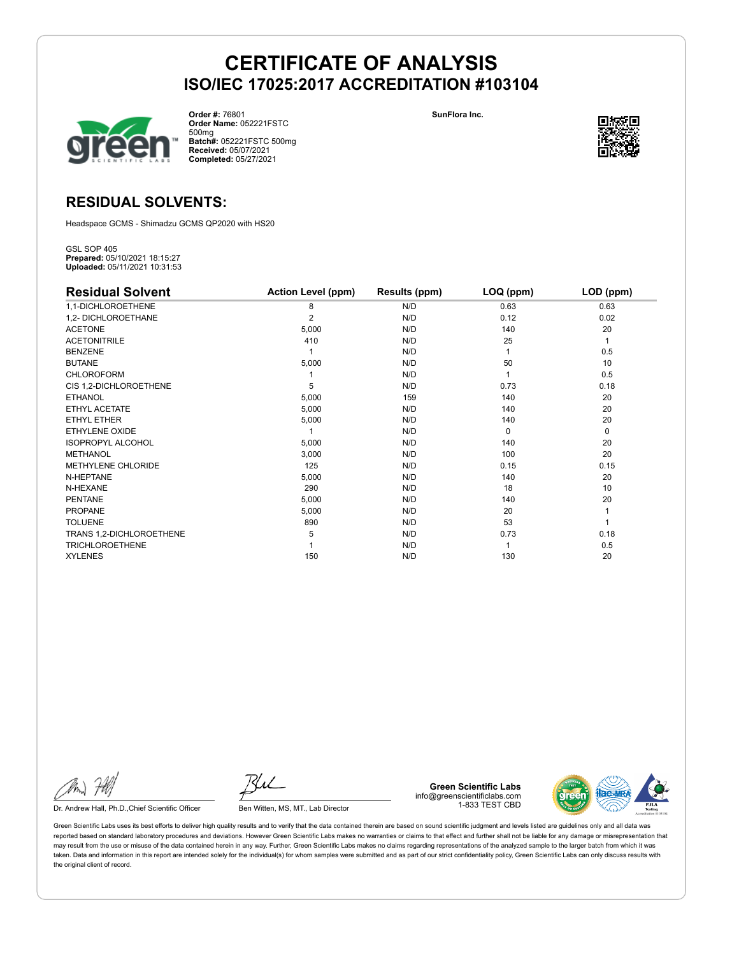

**Order #:** 76801 **Order Name:** 052221FSTC 500mg **Batch#:** 052221FSTC 500mg **Received:** 05/07/2021 **Completed:** 05/27/2021

**SunFlora Inc.**



## **RESIDUAL SOLVENTS:**

Headspace GCMS - Shimadzu GCMS QP2020 with HS20

GSL SOP 405 **Prepared:** 05/10/2021 18:15:27 **Uploaded:** 05/11/2021 10:31:53

| <b>Residual Solvent</b>   | <b>Action Level (ppm)</b> | Results (ppm) | LOQ (ppm) | LOD (ppm) |
|---------------------------|---------------------------|---------------|-----------|-----------|
| 1,1-DICHLOROETHENE        | 8                         | N/D           | 0.63      | 0.63      |
| 1,2- DICHLOROETHANE       | $\overline{2}$            | N/D           | 0.12      | 0.02      |
| <b>ACETONE</b>            | 5,000                     | N/D           | 140       | 20        |
| <b>ACETONITRILE</b>       | 410                       | N/D           | 25        | 1         |
| <b>BENZENE</b>            |                           | N/D           |           | 0.5       |
| <b>BUTANE</b>             | 5,000                     | N/D           | 50        | 10        |
| <b>CHLOROFORM</b>         |                           | N/D           |           | 0.5       |
| CIS 1,2-DICHLOROETHENE    | 5                         | N/D           | 0.73      | 0.18      |
| <b>ETHANOL</b>            | 5,000                     | 159           | 140       | 20        |
| ETHYL ACETATE             | 5,000                     | N/D           | 140       | 20        |
| <b>ETHYL ETHER</b>        | 5,000                     | N/D           | 140       | 20        |
| ETHYLENE OXIDE            |                           | N/D           | $\Omega$  | 0         |
| <b>ISOPROPYL ALCOHOL</b>  | 5,000                     | N/D           | 140       | 20        |
| <b>METHANOL</b>           | 3,000                     | N/D           | 100       | 20        |
| <b>METHYLENE CHLORIDE</b> | 125                       | N/D           | 0.15      | 0.15      |
| N-HEPTANE                 | 5,000                     | N/D           | 140       | 20        |
| N-HEXANE                  | 290                       | N/D           | 18        | 10        |
| <b>PENTANE</b>            | 5,000                     | N/D           | 140       | 20        |
| <b>PROPANE</b>            | 5,000                     | N/D           | 20        |           |
| <b>TOLUENE</b>            | 890                       | N/D           | 53        |           |
| TRANS 1,2-DICHLOROETHENE  | 5                         | N/D           | 0.73      | 0.18      |
| <b>TRICHLOROETHENE</b>    |                           | N/D           |           | 0.5       |
| <b>XYLENES</b>            | 150                       | N/D           | 130       | 20        |

Dr. Andrew Hall, Ph.D., Chief Scientific Officer Ben Witten, MS, MT., Lab Director

**Green Scientific Labs** info@greenscientificlabs.com 1-833 TEST CBD

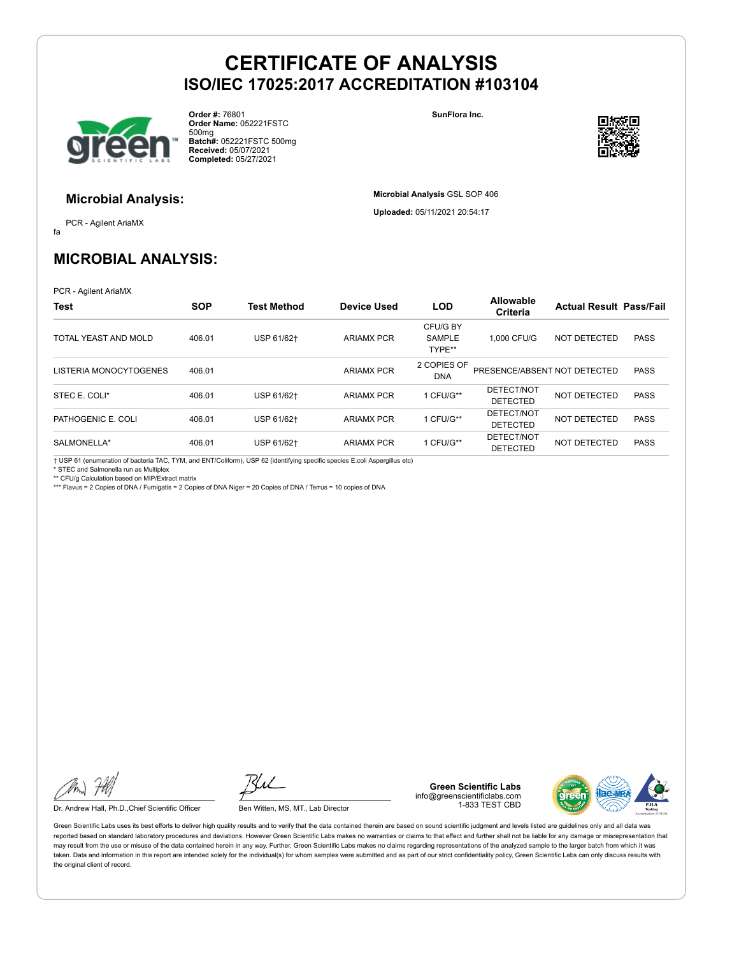

**Order #:** 76801 **Order Name:** 052221FSTC 500mg **Batch#:** 052221FSTC 500mg **Received:** 05/07/2021 **Completed:** 05/27/2021

**SunFlora Inc.**

**Microbial Analysis** GSL SOP 406 **Uploaded:** 05/11/2021 20:54:17



### **Microbial Analysis:**

fa PCR - Agilent AriaMX

## **MICROBIAL ANALYSIS:**

PCR - Agilent AriaMX

| <b>Test</b>            | <b>SOP</b> | <b>Test Method</b> | <b>Device Used</b> | <b>LOD</b>                          | Allowable<br>Criteria         | <b>Actual Result Pass/Fail</b> |             |
|------------------------|------------|--------------------|--------------------|-------------------------------------|-------------------------------|--------------------------------|-------------|
| TOTAL YEAST AND MOLD   | 406.01     | USP 61/62+         | <b>ARIAMX PCR</b>  | CFU/G BY<br><b>SAMPLE</b><br>TYPE** | 1.000 CFU/G                   | NOT DETECTED                   | <b>PASS</b> |
| LISTERIA MONOCYTOGENES | 406.01     |                    | <b>ARIAMX PCR</b>  | 2 COPIES OF<br><b>DNA</b>           | PRESENCE/ABSENT NOT DETECTED  |                                | <b>PASS</b> |
| STEC E. COLI*          | 406.01     | USP 61/62+         | <b>ARIAMX PCR</b>  | 1 CFU/G**                           | DETECT/NOT<br><b>DETECTED</b> | NOT DETECTED                   | <b>PASS</b> |
| PATHOGENIC E. COLI     | 406.01     | USP 61/62+         | <b>ARIAMX PCR</b>  | 1 CFU/G**                           | DETECT/NOT<br><b>DETECTED</b> | NOT DETECTED                   | <b>PASS</b> |
| SALMONELLA*            | 406.01     | USP 61/62+         | <b>ARIAMX PCR</b>  | 1 CFU/G**                           | DETECT/NOT<br><b>DETECTED</b> | <b>NOT DETECTED</b>            | <b>PASS</b> |

† USP 61 (enumeration of bacteria TAC, TYM, and ENT/Coliform), USP 62 (identifying specific species E.coli Aspergillus etc) \* STEC and Salmonella run as Multiplex

\*\* CFU/g Calculation based on MIP/Extract matrix

\*\*\* Flavus = 2 Copies of DNA / Fumigatis = 2 Copies of DNA Niger = 20 Copies of DNA / Terrus = 10 copies of DNA

Dr. Andrew Hall, Ph.D., Chief Scientific Officer Ben Witten, MS, MT., Lab Director

**Green Scientific Labs** info@greenscientificlabs.com 1-833 TEST CBD